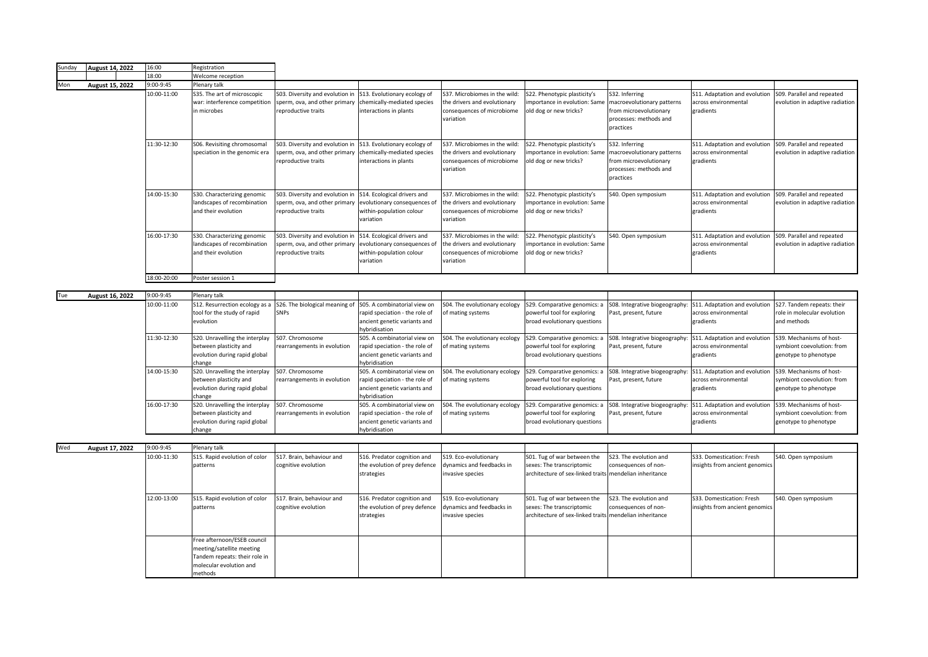| Sunday | <b>August 14, 2022</b> | 16:00       | Registration                                                                                                                    |                                                                                         |                                                                                                                 |                                                                                                          |                                                                                                                     |                                                                                                               |                                                                    |                                                                                 |
|--------|------------------------|-------------|---------------------------------------------------------------------------------------------------------------------------------|-----------------------------------------------------------------------------------------|-----------------------------------------------------------------------------------------------------------------|----------------------------------------------------------------------------------------------------------|---------------------------------------------------------------------------------------------------------------------|---------------------------------------------------------------------------------------------------------------|--------------------------------------------------------------------|---------------------------------------------------------------------------------|
|        |                        | 18:00       | Welcome reception                                                                                                               |                                                                                         |                                                                                                                 |                                                                                                          |                                                                                                                     |                                                                                                               |                                                                    |                                                                                 |
| Mon    | August 15, 2022        | 9:00-9:45   | Plenary talk                                                                                                                    |                                                                                         |                                                                                                                 |                                                                                                          |                                                                                                                     |                                                                                                               |                                                                    |                                                                                 |
|        |                        | 10:00-11:00 | S35. The art of microscopic<br>war: interference competition<br>in microbes                                                     | S03. Diversity and evolution ir<br>sperm, ova, and other primary<br>reproductive traits | S13. Evolutionary ecology of<br>chemically-mediated species<br>interactions in plants                           | S37. Microbiomes in the wild<br>he drivers and evolutionary<br>consequences of microbiome<br>variation   | S22. Phenotypic plasticity's<br>mportance in evolution: Same<br>old dog or new tricks?                              | S32. Inferring<br>macroevolutionary patterns<br>from microevolutionary<br>processes: methods and<br>practices | S11. Adaptation and evolution<br>across environmental<br>gradients | S09. Parallel and repeated<br>evolution in adaptive radiation                   |
|        |                        | 11:30-12:30 | S06. Revisiting chromosomal<br>speciation in the genomic era                                                                    | S03. Diversity and evolution in<br>sperm, ova, and other primary<br>reproductive traits | S13. Evolutionary ecology of<br>chemically-mediated species<br>interactions in plants                           | S37. Microbiomes in the wild:<br>the drivers and evolutionary<br>consequences of microbiome<br>variation | S22. Phenotypic plasticity's<br>importance in evolution: Same<br>old dog or new tricks?                             | S32. Inferring<br>macroevolutionary patterns<br>from microevolutionary<br>processes: methods and<br>practices | S11. Adaptation and evolution<br>across environmental<br>gradients | S09. Parallel and repeated<br>evolution in adaptive radiation                   |
|        |                        | 14:00-15:30 | S30. Characterizing genomic<br>landscapes of recombination<br>and their evolution                                               | S03. Diversity and evolution in<br>sperm, ova, and other primary<br>reproductive traits | S14. Ecological drivers and<br>evolutionary consequences of<br>within-population colour<br>variation            | S37. Microbiomes in the wild:<br>the drivers and evolutionary<br>consequences of microbiome<br>variation | 522. Phenotypic plasticity's<br>mportance in evolution: Same<br>old dog or new tricks?                              | S40. Open symposium                                                                                           | S11. Adaptation and evolution<br>across environmental<br>gradients | S09. Parallel and repeated<br>evolution in adaptive radiation                   |
|        |                        | 16:00-17:30 | S30. Characterizing genomic<br>landscapes of recombination<br>and their evolution                                               | S03. Diversity and evolution in<br>sperm, ova, and other primary<br>reproductive traits | S14. Ecological drivers and<br>evolutionary consequences of<br>within-population colour<br>variation            | S37. Microbiomes in the wild:<br>the drivers and evolutionary<br>consequences of microbiome<br>variation | S22. Phenotypic plasticity's<br>importance in evolution: Same<br>old dog or new tricks?                             | S40. Open symposium                                                                                           | S11. Adaptation and evolution<br>across environmental<br>gradients | S09. Parallel and repeated<br>evolution in adaptive radiation                   |
|        |                        | 18:00-20:00 | Poster session 1                                                                                                                |                                                                                         |                                                                                                                 |                                                                                                          |                                                                                                                     |                                                                                                               |                                                                    |                                                                                 |
| Tue    | August 16, 2022        | 9:00-9:45   | Plenary talk                                                                                                                    |                                                                                         |                                                                                                                 |                                                                                                          |                                                                                                                     |                                                                                                               |                                                                    |                                                                                 |
|        |                        | 10:00-11:00 | S12. Resurrection ecology as a<br>tool for the study of rapid<br>evolution                                                      | S26. The biological meaning of<br><b>SNPs</b>                                           | S05. A combinatorial view on<br>rapid speciation - the role of<br>ancient genetic variants and<br>lybridisation | S04. The evolutionary ecology<br>of mating systems                                                       | S29. Comparative genomics: a<br>powerful tool for exploring<br>broad evolutionary questions                         | S08. Integrative biogeography<br>Past, present, future                                                        | S11. Adaptation and evolution<br>across environmental<br>gradients | S27. Tandem repeats: their<br>role in molecular evolution<br>and methods        |
|        |                        | 11:30-12:30 | S20. Unravelling the interplay<br>between plasticity and<br>evolution during rapid global<br>change                             | S07. Chromosome<br>rearrangements in evolution                                          | S05. A combinatorial view on<br>rapid speciation - the role of<br>ancient genetic variants and<br>lybridisation | S04. The evolutionary ecology<br>of mating systems                                                       | S29. Comparative genomics: a<br>powerful tool for exploring<br>broad evolutionary questions                         | S08. Integrative biogeography<br>Past, present, future                                                        | S11. Adaptation and evolution<br>across environmental<br>gradients | S39. Mechanisms of host-<br>symbiont coevolution: from<br>genotype to phenotype |
|        |                        | 14:00-15:30 | S20. Unravelling the interplay<br>between plasticity and<br>evolution during rapid global<br>change                             | S07. Chromosome<br>rearrangements in evolution                                          | S05. A combinatorial view on<br>apid speciation - the role of<br>ancient genetic variants and<br>lybridisation  | S04. The evolutionary ecology<br>of mating systems                                                       | S29. Comparative genomics: a<br>powerful tool for exploring<br>broad evolutionary questions                         | S08. Integrative biogeography:<br>Past, present, future                                                       | S11. Adaptation and evolution<br>across environmental<br>gradients | S39. Mechanisms of host-<br>symbiont coevolution: from<br>genotype to phenotype |
|        |                        | 16:00-17:30 | S20. Unravelling the interplay<br>between plasticity and<br>evolution during rapid global<br>change                             | S07. Chromosome<br>rearrangements in evolution                                          | S05. A combinatorial view on<br>apid speciation - the role of<br>ancient genetic variants and<br>hybridisation  | S04. The evolutionary ecology<br>of mating systems                                                       | S29. Comparative genomics: a<br>powerful tool for exploring<br>broad evolutionary questions                         | SO8. Integrative biogeography<br>Past, present, future                                                        | S11. Adaptation and evolution<br>across environmental<br>gradients | S39. Mechanisms of host-<br>symbiont coevolution: from<br>genotype to phenotype |
|        |                        |             |                                                                                                                                 |                                                                                         |                                                                                                                 |                                                                                                          |                                                                                                                     |                                                                                                               |                                                                    |                                                                                 |
| Wed    | August 17, 2022        | 9:00-9:45   | Plenary talk                                                                                                                    |                                                                                         |                                                                                                                 |                                                                                                          |                                                                                                                     |                                                                                                               |                                                                    |                                                                                 |
|        |                        | 10:00-11:30 | S15. Rapid evolution of color<br>patterns                                                                                       | S17. Brain, behaviour and<br>cognitive evolution                                        | S16. Predator cognition and<br>the evolution of prey defence<br>strategies                                      | S19. Eco-evolutionary<br>dynamics and feedbacks in<br>invasive species                                   | S01. Tug of war between the<br>sexes: The transcriptomic<br>architecture of sex-linked traits mendelian inheritance | S23. The evolution and<br>consequences of non-                                                                | S33. Domestication: Fresh<br>insights from ancient genomics        | S40. Open symposium                                                             |
|        |                        | 12:00-13:00 | S15. Rapid evolution of color<br>patterns                                                                                       | S17. Brain, behaviour and<br>cognitive evolution                                        | S16. Predator cognition and<br>the evolution of prey defence<br>strategies                                      | S19. Eco-evolutionary<br>dynamics and feedbacks in<br>invasive species                                   | S01. Tug of war between the<br>sexes: The transcriptomic<br>architecture of sex-linked traits                       | S23. The evolution and<br>consequences of non-<br>mendelian inheritance                                       | S33. Domestication: Fresh<br>insights from ancient genomics        | S40. Open symposium                                                             |
|        |                        |             | Free afternoon/ESEB council<br>meeting/satellite meeting<br>Tandem repeats: their role in<br>molecular evolution and<br>methods |                                                                                         |                                                                                                                 |                                                                                                          |                                                                                                                     |                                                                                                               |                                                                    |                                                                                 |